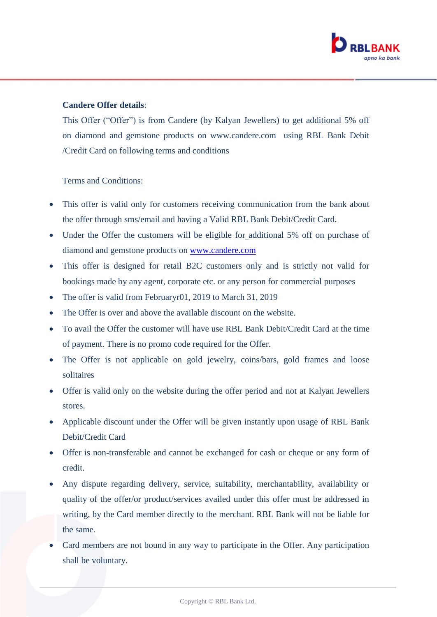

## **Candere Offer details**:

This Offer ("Offer") is from Candere (by Kalyan Jewellers) to get additional 5% off on diamond and gemstone products on www.candere.com using RBL Bank Debit /Credit Card on following terms and conditions

## Terms and Conditions:

- This offer is valid only for customers receiving communication from the bank about the offer through sms/email and having a Valid RBL Bank Debit/Credit Card.
- Under the Offer the customers will be eligible for additional 5% off on purchase of diamond and gemstone products on [www.candere.com](http://www.candere.com/)
- This offer is designed for retail B2C customers only and is strictly not valid for bookings made by any agent, corporate etc. or any person for commercial purposes
- The offer is valid from Februaryr01, 2019 to March 31, 2019
- The Offer is over and above the available discount on the website.
- To avail the Offer the customer will have use RBL Bank Debit/Credit Card at the time of payment. There is no promo code required for the Offer.
- The Offer is not applicable on gold jewelry, coins/bars, gold frames and loose solitaires
- Offer is valid only on the website during the offer period and not at Kalyan Jewellers stores.
- Applicable discount under the Offer will be given instantly upon usage of RBL Bank Debit/Credit Card
- Offer is non-transferable and cannot be exchanged for cash or cheque or any form of credit.
- Any dispute regarding delivery, service, suitability, merchantability, availability or quality of the offer/or product/services availed under this offer must be addressed in writing, by the Card member directly to the merchant. RBL Bank will not be liable for the same.
- Card members are not bound in any way to participate in the Offer. Any participation shall be voluntary.